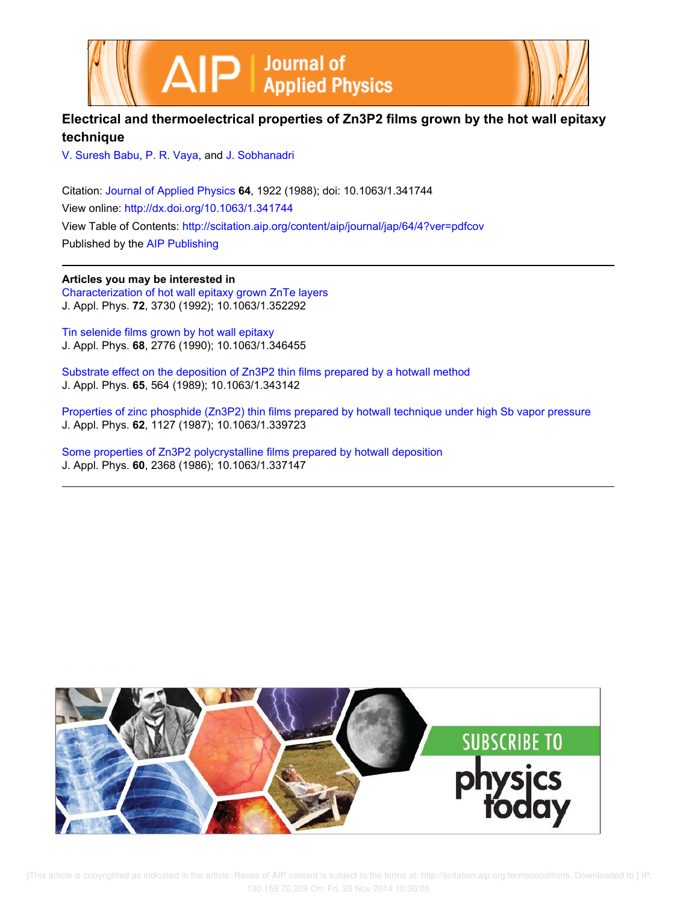



## **Electrical and thermoelectrical properties of Zn3P2 films grown by the hot wall epitaxy technique**

V. Suresh Babu, P. R. Vaya, and J. Sobhanadri

Citation: Journal of Applied Physics **64**, 1922 (1988); doi: 10.1063/1.341744 View online: http://dx.doi.org/10.1063/1.341744 View Table of Contents: http://scitation.aip.org/content/aip/journal/jap/64/4?ver=pdfcov Published by the AIP Publishing

**Articles you may be interested in** Characterization of hot wall epitaxy grown ZnTe layers J. Appl. Phys. **72**, 3730 (1992); 10.1063/1.352292

Tin selenide films grown by hot wall epitaxy J. Appl. Phys. **68**, 2776 (1990); 10.1063/1.346455

Substrate effect on the deposition of Zn3P2 thin films prepared by a hotwall method J. Appl. Phys. **65**, 564 (1989); 10.1063/1.343142

Properties of zinc phosphide (Zn3P2) thin films prepared by hotwall technique under high Sb vapor pressure J. Appl. Phys. **62**, 1127 (1987); 10.1063/1.339723

Some properties of Zn3P2 polycrystalline films prepared by hotwall deposition J. Appl. Phys. **60**, 2368 (1986); 10.1063/1.337147



[This article is copyrighted as indicated in the article. Reuse of AIP content is subject to the terms at: http://scitation.aip.org/termsconditions. Downloaded to ] IP: 130.159.70.209 On: Fri, 28 Nov 2014 10:36:05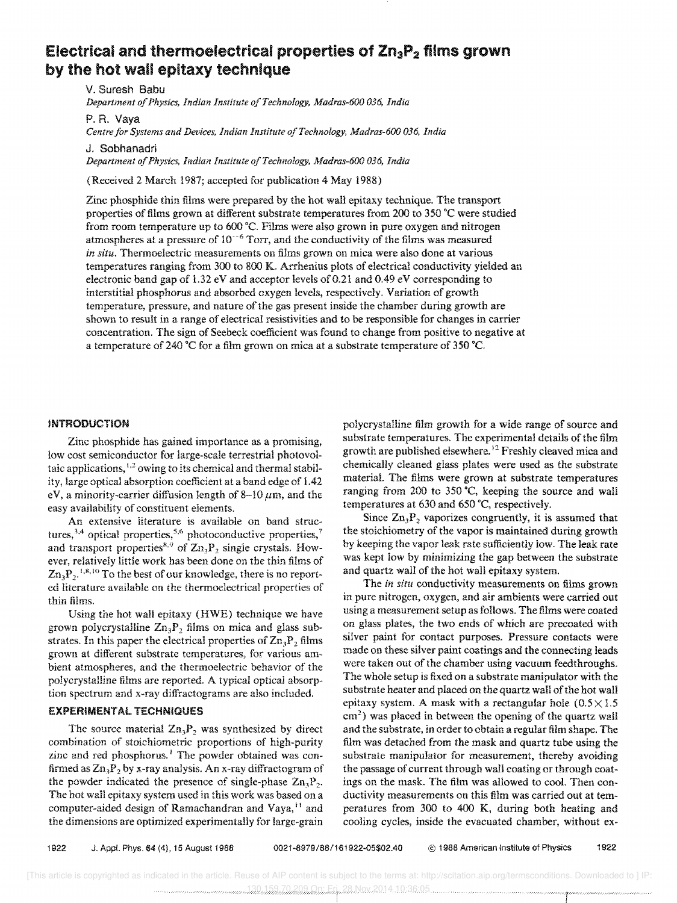# Electrical and thermoelectrical properties of Zn<sub>3</sub>P<sub>2</sub> films grown **by the hot wall epitaxy technique**

V. Suresh Babu *Department of Physics, Indian Institute of Technology, Madras-600 036, India* 

P. R. Vaya

*Centre for Systems and Devices. Indian Institute of Technology, Madras-600 036, India* 

J. Sobhanadri

*Department of Physics, Indian Institute of Technology, Madras-600 036, India* 

(Received 2 March 1987; accepted for publication 4 May 1988)

Zinc phosphide thin films were prepared by the hot wall epitaxy technique. The transport properties of films grown at different substrate temperatures from 200 to 350 °C were studied from room temperature up to 600 °C. Films were also grown in pure oxygen and nitrogen atmospheres at a pressure of  $10^{-6}$  Torr, and the conductivity of the films was measured *in situ.* Thermoelectric measurements on films grown on mica were also done at various temperatures ranging from 300 to 800 K. Arrhenius plots of electrical conductivity yielded an electronic band gap of 1.32 eV and acceptor levels of 0.21 and 0.49 eV corresponding to interstitial phosphorus and absorbed oxygen levels, respectively. Variation of growth temperature, pressure, and nature of the gas present inside the chamber during growth are shown to result in a range of electrical resistivities and to be responsible for changes in carrier concentration. The sign of Seebeck coefficient was found to change from positive to negative at a temperature of 240 °C for a film grown on mica at a substrate temperature of 350 °C.

#### INTRODUCTION

Zinc phosphide has gained importance as a promising, low cost semiconductor for large-scale terrestrial photovoltaic applications,  $1.2$  owing to its chemical and thermal stability, large optical absorption coefficient at a band edge of 1.42 eV, a minority-carrier diffusion length of 8-10  $\mu$ m, and the easy availability of constituent elements,

An extensive literature is available on band structures,<sup>3,4</sup> optical properties,<sup>5,6</sup> photoconductive properties,<sup>7</sup> and transport properties<sup>8,9</sup> of  $\text{Zn}_3\text{P}_2$  single crystals. However, relatively little work has been done on the thin films of  $\text{Zn}_3\text{P}_2$ .<sup>1,8,10</sup> To the best of our knowledge, there is no reported literature available on the thermoelectrical properties of thin films.

Using the hot wall epitaxy (HWE) technique we have grown polycrystalline  $Zn_3P_2$  films on mica and glass substrates. In this paper the electrical properties of  $\mathbb{Z}_n$ <sup>p</sup>, films grown at different substrate temperatures, for various ambient atmospheres, and the thermoelectric behavior of the polycrystalline films are reported. A typical opticai absorption spectrum and x-ray diffractograms are also included.

### EXPERIMENTAL TECHNIQUES

The source material  $Zn_3P_2$  was synthesized by direct combination of stoichiometric proportions of high-purity zinc and red phosphorus.<sup>1</sup> The powder obtained was confirmed as  $\text{Zn}_3\text{P}_2$  by x-ray analysis. An x-ray diffractogram of the powder indicated the presence of single-phase  $\mathbb{Z}_n \mathbb{P}_2$ . The hot wall epitaxy system used in this work was based on a computer-aided design of Ramachandran and Vaya,<sup>11</sup> and the dimensions are optimized experimentally for large-grain

polycrystaIline film growth for a wide range of source and substrate temperatures. The experimental details of the film growth are published elsewhere.<sup>12</sup> Freshly cleaved mica and chemically cleaned glass plates were used as the substrate material. The films were grown at substrate temperatures ranging from 200 to 350  $\degree$ C, keeping the source and wall temperatures at  $630$  and  $650$  °C, respectively.

Since  $\text{Zn}_3\text{P}_2$  vaporizes congruently, it is assumed that the stoichiometry of the vapor is maintained during growth by keeping the vapor leak rate sufficiently low. The leak rate was kept low by minimizing the gap between the substrate and quartz wall of the hot wall epitaxy system.

The *in situ* conductivity measurements on films grown in pure nitrogen, oxygen, and air ambients were carried out using a measurement setup as follows. The films were coated on glass plates, the two ends of which are precoated with silver paint for contact purposes. Pressure contacts were made on these silver paint coatings and the connecting leads were taken out of the chamber using vacuum feedthroughs, The whole setup is fixed on a substrate manipulator with the substrate heater and placed on the quartz wall of the hot wall epitaxy system. A mask with a rectangular hole  $(0.5 \times 1.5)$  $\text{cm}^2$ ) was placed in between the opening of the quartz wall and the substrate, in order to obtain a regular film shape. The film was detached from the mask and quartz tube using the substrate manipulator for measurement, thereby avoiding the passage of current through wall coating or through coatings on the mask. The film was allowed to cool. Then conductivity measurements on this film was carried out at temperatures from 300 to 400 K, during both heating and cooling cycles, inside the evacuated chamber, without ex-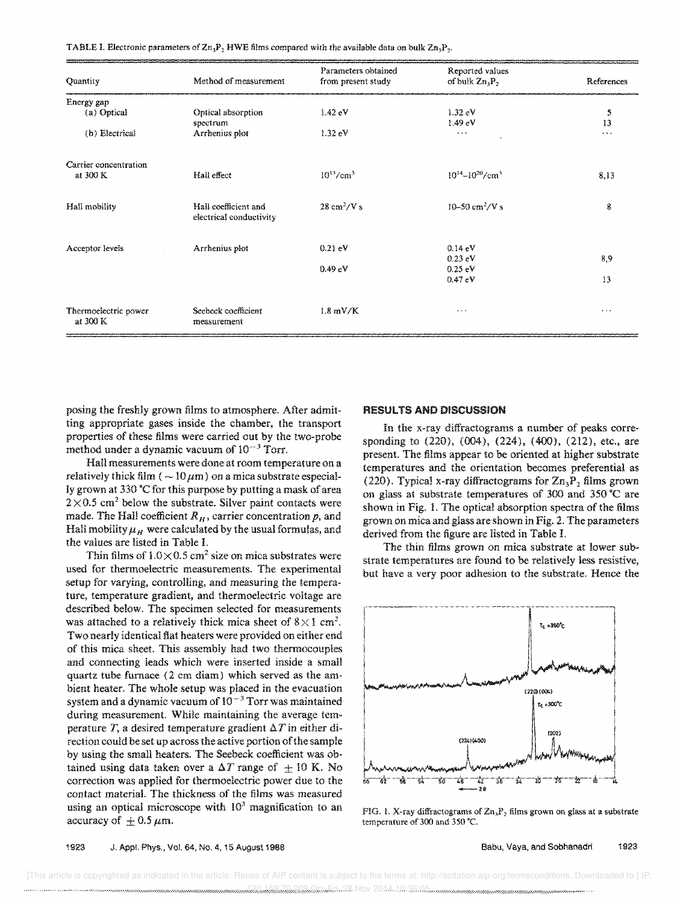TABLE I. Electronic parameters of  $\text{Zn}_3\text{P}_2$  HWE films compared with the available data on bulk  $\text{Zn}_3\text{P}_2$ .

| Quantity              | Method of measurement   | Parameters obtained<br>from present study | Reported values<br>of bulk $\mathbb{Z}n_3\mathbb{P}_2$ | References |
|-----------------------|-------------------------|-------------------------------------------|--------------------------------------------------------|------------|
| Energy gap            |                         |                                           |                                                        |            |
| (a) Optical           | Optical absorption      | $1.42 \text{ eV}$                         | $1.32 \text{ eV}$                                      | 5          |
|                       | spectrum                |                                           | 1.49 eV                                                | 13         |
| (b) Electrical        | Arrhenius plot          | $1.32$ eV                                 | $\alpha$ . $\alpha$                                    | $\cdots$   |
| Carrier concentration |                         |                                           |                                                        |            |
| at 300 K              | Hall effect             | $10^{13}/\text{cm}^3$                     | $10^{14} - 10^{20}$ /cm <sup>3</sup>                   | 8,13       |
| Hall mobility         | Hall coefficient and    | $28 \text{ cm}^2/\text{V}$ s              | 10-50 $\text{cm}^2/\text{V}$ s                         | 8          |
|                       | electrical conductivity |                                           |                                                        |            |
| Acceptor levels       | Arrhenius plot          | 0.21 eV                                   | $0.14 \text{ eV}$                                      |            |
|                       |                         |                                           | $0.23$ eV                                              | 8,9        |
|                       |                         | 0.49 eV                                   | $0.25$ eV                                              |            |
|                       |                         |                                           | 0.47 eV                                                | 13         |
| Thermoelectric power  | Seebeck coefficient     | $1.8 \text{ mV/K}$                        | $\ldots$                                               | $\cdots$   |
| at 300 K              | measurement             |                                           |                                                        |            |

posing the freshly grown films to atmosphere. After admitting appropriate gases inside the chamber, the transport properties of these films were carried out by the two-probe method under a dynamic vacuum of  $10^{-3}$  Torr.

Hall measurements were done at room temperature on a relatively thick film ( $\sim 10 \,\mu\text{m}$ ) on a mica substrate especially grown at 330 ·C for this purpose by putting a mask of area  $2\times0.5$  cm<sup>2</sup> below the substrate. Silver paint contacts were made. The Hall coefficient  $R_H$ , carrier concentration  $p$ , and Hall mobility  $\mu_H$  were calculated by the usual formulas, and the values are listed in Table 1.

Thin films of  $1.0 \times 0.5$  cm<sup>2</sup> size on mica substrates were used for thermoelectric measurements. The experimental setup for varying, controlling, and measuring the temperature, temperature gradient, and thermoelectric voltage are described below. The specimen selected for measurements was attached to a relatively thick mica sheet of  $8 \times 1$  cm<sup>2</sup>. Two nearly identical fiat heaters were provided on either end of this mica sheet. This assembiy had two thermocouples and connecting leads which were inserted inside a small quartz tube furnace (2 em diam) which served as the ambient heater. The whole setup was placed in the evacuation system and a dynamic vacuum of  $10^{-3}$  Torr was maintained during measurement. While maintaining the average temperature T, a desired temperature gradient  $\Delta T$  in either direction could be set up across the active portion of the sample by using the small heaters. The Seebeck coefficient was obtained using data taken over a  $\Delta T$  range of  $\pm 10$  K. No correction was applied for thermoelectric power due to the contact material. The thickness of the films was measured using an optical microscope with  $10<sup>3</sup>$  magnification to an accuracy of  $\pm$  0.5  $\mu$ m.

### RESULTS AND DISCUSSION

In the x-ray diffractograms a number of peaks corresponding to (220), (004), (224), (400), (212), etc., are present. The films appear to be oriented at higher substrate temperatures and the orientation becomes preferential as (220). Typical x-ray diffractograms for  $\text{Zn}_3\text{P}_2$  films grown on glass at substrate temperatures of 300 and 350°C are shown in Fig. 1. The optical absorption spectra of the films grown on mica and glass are shown in Fig. 2. The parameters derived from the figure are listed in Table I.

The thin films grown on mica substrate at lower substrate temperatures are found to be relatively less resistive, but have a very poor adhesion to the substrate. Hence the



FIG. 1. X-ray diffractograms of  $Zn_3P_2$  films grown on glass at a substrate temperature of 300 and 350 'C.

 [This article is copyrighted as indicated in the article. Reuse of AIP content is subject to the terms at: http://scitation.aip.org/termsconditions. Downloaded to ] IP: 130.159.70.209 On: Fri, 28 Nov 2014 10:36:05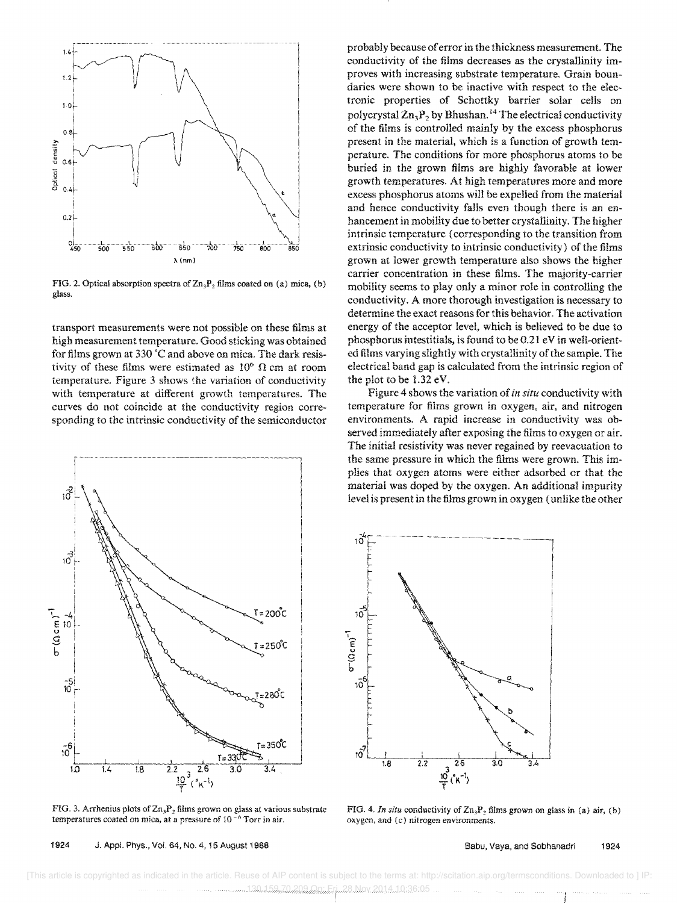

FIG. 2. Optical absorption spectra of  $Zn_3P_2$  films coated on (a) mica, (b) glass.

transport measurements were not possible on these films at high measurement temperature. Good sticking was obtained for films grown at 330 °C and above on mica. The dark resistivity of these films were estimated as  $10^6$   $\Omega$  cm at room temperature. Figure 3 shows the variation of conductivity with temperature at different growth temperatures. The curves do not coincide at the conductivity region corresponding to the intrinsic conductivity of the semiconductor



FIG. 3. Arrhenius plots of  $\text{Zn}_3\text{P}_2$  films grown on glass at various substrate temperatures coated on mica, at a pressure of  $10^{-6}$  Torr in air.

1924 J. Appi. Phys., Vol. 64, No. 4, 15 August 1988

probably because of error in the thickness measurement. The conductivity of the films decreases as the crystallinity improves with increasing substrate temperature. Grain boundaries were shown to be inactive with respect to the electronic properties of Schottky barrier solar cells on polycrystal  $\mathbb{Z}n_3P_2$  by Bhushan.<sup>14</sup> The electrical conductivity of the films is controlled mainly by the excess phosphorus present in the material, which is a function of growth temperature. The conditions for more phosphorus atoms to be buried in the grown films are highly favorable at lower growth temperatures. At high temperatures more and more excess phosphorus atoms will be expelled from the material and hence conductivity falls even though there is an enhancement in mobility due to better crystallinity. The higher intrinsic temperature (corresponding to the transition from extrinsic conductivity to intrinsic conductivity) of the films grown at lower growth temperature also shows the higher carrier concentration in these films. The majority-carrier mobility seems to play only a minor role in controlling the conductivity. A more thorough investigation is necessary to determine the exact reasons for this behavior. The activation energy of the acceptor level, which is believed to be due to phosphorus intestitials, is found to be 0.21 eV in well-oriented films varying slightly with crystallinity of the sample. The electrical band gap is calculated from the intrinsic region of the plot to be 1.32 eV.

Figure 4 shows the variation of in situ conductivity with temperature for films grown in oxygen, air, and nitrogen environments. A rapid increase in conductivity was observed immediately after exposing the films to oxygen or air. The initial resistivity was never regained by reevacuation to the same pressure in which the films were grown. This implies that oxygen atoms were either adsorbed or that the material was doped by the oxygen. An additional impurity level is present in the films grown in oxygen (unlike the other



FIG. 4. In situ conductivity of  $\text{Zn}_3\text{P}_2$  films grown on glass in (a) air, (b) oxygen, and (c) nitrogen environments.

Babu, Vaya, and Sobhanadri 1924

[This article is copyrighted as indicated in the article. Reuse of AIP content is subject to the terms at: http://scitation.aip.org/termsconditions. Downloaded to ] IP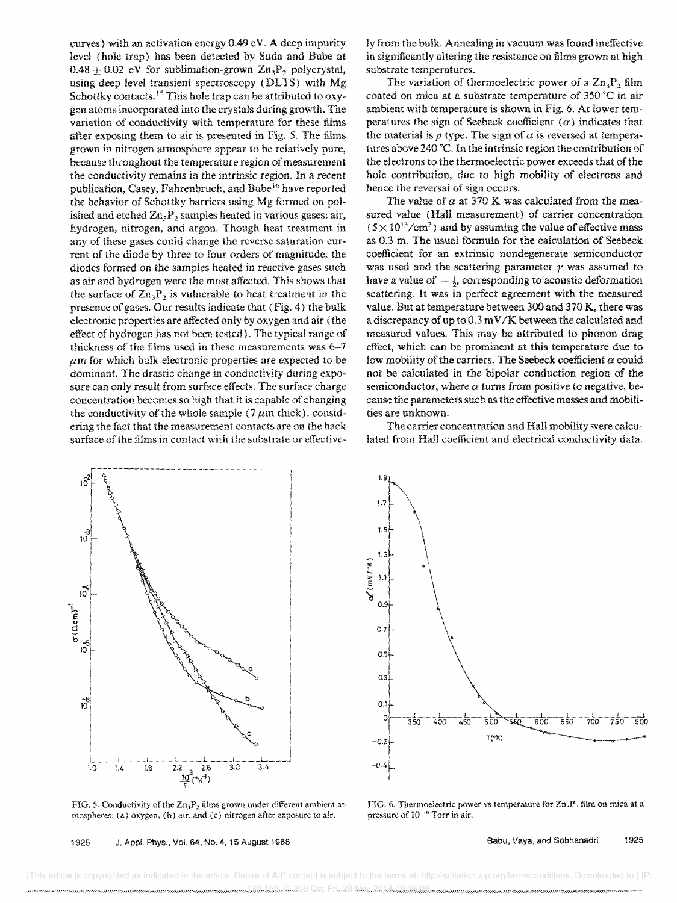curves) with an activation energy 0.49 eV, A deep impurity level (hole trap) has been detected by Suda and Bube at  $0.48 + 0.02$  eV for sublimation-grown  $\mathbb{Z}_n$ , polycrystal, using deep level transient spectroscopy (DLTS) with Mg Schottky contacts.<sup>15</sup> This hole trap can be attributed to oxygen atoms incorporated into the crystals during growth. The variation of conductivity with temperature for these films after exposing them to air is presented in Fig. 5. The films grown in nitrogen atmosphere appear to be relatively pure, because throughout the temperature region of measurement the conductivity remains in the intrinsic region. In a recent publication, Casey, Fahrenbruch, and Bube 16 have reported the behavior of Schottky barriers using Mg formed on polished and etched  $\text{Zn}_3\text{P}_2$  samples heated in various gases: air, hydrogen, nitrogen, and argon. Though heat treatment in any of these gases could change the reverse saturation cur· rent of the diode by three to four orders of magnitude, the diodes formed on the samples heated in reactive gases such as air and hydrogen were the most affected. This shows that the surface of  $\mathbb{Z}_n P_2$  is vulnerable to heat treatment in the presence of gases. Our results indicate that (Fig. 4) the bulk electronic properties are affected only by oxygen and air (the effect of hydrogen has not been tested). The typical range of thickness of the films used in these measurements was 6-7  $\mu$ m for which bulk electronic properties are expected to be dominant. The drastic change in conductivity during exposure can only result from surface effects. The surface charge concentration becomes so high that it is capable of changing the conductivity of the whole sample (7  $\mu$ m thick), considering the fact that the measurement contacts are on the back surface of the films in contact with the substrate or effectively from the bulk. Annealing in vacuum was found ineffective in significantly altering the resistance on films grown at high substrate temperatures.

The variation of thermoelectric power of a  $\rm Zn_3P_2$  film coated on mica at a substrate temperature of 350 'C in air ambient with temperature is shown in Fig. 6. At lower temperatures the sign of Seebeck coefficient  $(\alpha)$  indicates that the material is  $p$  type. The sign of  $\alpha$  is reversed at temperatures above 240°C. In the intrinsic region the contribution of the electrons to the thermoelectric power exceeds that of the hole contribution, due to high mobility of electrons and hence the reversal of sign occurs.

The value of  $\alpha$  at 370 K was calculated from the measured value (Hall measurement) of carrier concentration  $(5 \times 10^{13}/\text{cm}^3)$  and by assuming the value of effective mass as 0.3 m. The usual formula for the calculation of Seebeck coefficient for an extrinsic nondegenerate semiconductor was used and the scattering parameter  $\gamma$  was assumed to have a value of  $-\frac{1}{2}$ , corresponding to acoustic deformation scattering. It was in perfect agreement with the measured value. But at temperature between 300 and 370 K, there was a discrepancy of up to 0.3 m V *IK* between the calculated and measured values. This may be attributed to phonon drag effect, which can be prominent at this temperature due to low mobility of the carriers. The Seebeck coefficient *a* could not be calculated in the bipolar conduction region of the semiconductor, where  $\alpha$  turns from positive to negative, because the parameters such as the effective masses and mobilities are unknown.

The carrier concentration and Hall mobility were calculated from Hall coefficient and electrical conductivity data.



FIG. 5. Conductivity of the  $\mathbb{Z}_p\mathbb{Z}_2$ , films grown under different ambient atmospheres: (a) oxygen. (b) air, and (e) nitrogen after exposure to air.

![](_page_4_Figure_7.jpeg)

FIG. 6. Thermoelectric power vs temperature for  $\text{Zn}_3\text{P}_2$  film on mica at a pressure of *10·"* Torr in air.

1925 J. Appl. Phys., Vol. 64, No. 4, 15 August 1988

 [This article is copyrighted as indicated in the article. Reuse of AIP content is subject to the terms at: http://scitation.aip.org/termsconditions. Downloaded to ] IP: 130.159.70.209 On: Fri, 28 Nov 2014 10:36:05